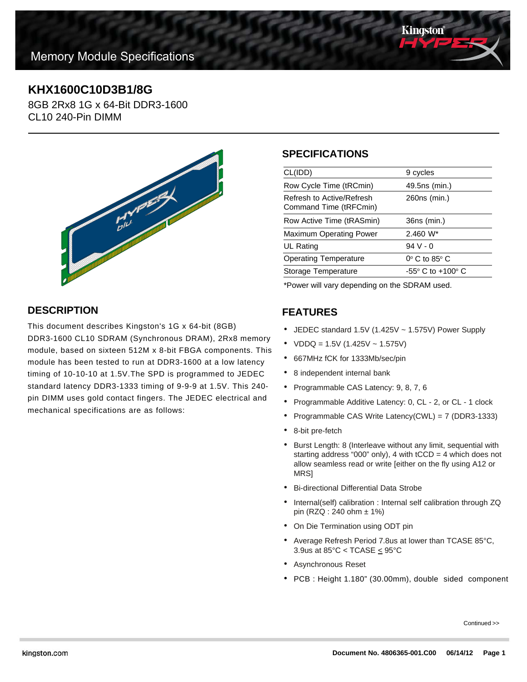

# **KHX1600C10D3B1/8G**

8GB 2Rx8 1G x 64-Bit DDR3-1600 CL10 240-Pin DIMM



# **DESCRIPTION**

This document describes Kingston's 1G x 64-bit (8GB) DDR3-1600 CL10 SDRAM (Synchronous DRAM), 2Rx8 memory module, based on sixteen 512M x 8-bit FBGA components. This module has been tested to run at DDR3-1600 at a low latency timing of 10-10-10 at 1.5V.The SPD is programmed to JEDEC standard latency DDR3-1333 timing of 9-9-9 at 1.5V. This 240 pin DIMM uses gold contact fingers. The JEDEC electrical and mechanical specifications are as follows:

### **SPECIFICATIONS**

| CL(IDD)                                             | 9 cycles                            |
|-----------------------------------------------------|-------------------------------------|
| Row Cycle Time (tRCmin)                             | 49.5ns (min.)                       |
| Refresh to Active/Refresh<br>Command Time (tRFCmin) | 260ns (min.)                        |
| Row Active Time (tRASmin)                           | 36ns (min.)                         |
| <b>Maximum Operating Power</b>                      | $2.460 W^*$                         |
| UL Rating                                           | $94V - 0$                           |
| <b>Operating Temperature</b>                        | $0^\circ$ C to 85 $^\circ$ C        |
| Storage Temperature                                 | $-55^{\circ}$ C to $+100^{\circ}$ C |
|                                                     |                                     |

\*Power will vary depending on the SDRAM used.

## **FEATURES**

- JEDEC standard 1.5V (1.425V ~ 1.575V) Power Supply
- $VDDQ = 1.5V (1.425V 1.575V)$
- 667MHz fCK for 1333Mb/sec/pin
- 8 independent internal bank
- Programmable CAS Latency: 9, 8, 7, 6
- Programmable Additive Latency: 0, CL 2, or CL 1 clock
- Programmable CAS Write Latency(CWL) = 7 (DDR3-1333)
- 8-bit pre-fetch
- Burst Length: 8 (Interleave without any limit, sequential with starting address "000" only), 4 with  $tCCD = 4$  which does not allow seamless read or write [either on the fly using A12 or MRS]
- Bi-directional Differential Data Strobe
- Internal(self) calibration : Internal self calibration through ZQ pin (RZQ : 240 ohm ± 1%)
- On Die Termination using ODT pin
- Average Refresh Period 7.8us at lower than TCASE 85°C, 3.9us at 85°C < TCASE  $\leq$  95°C
- Asynchronous Reset
- PCB : Height 1.180" (30.00mm), double sided component

Continued >>